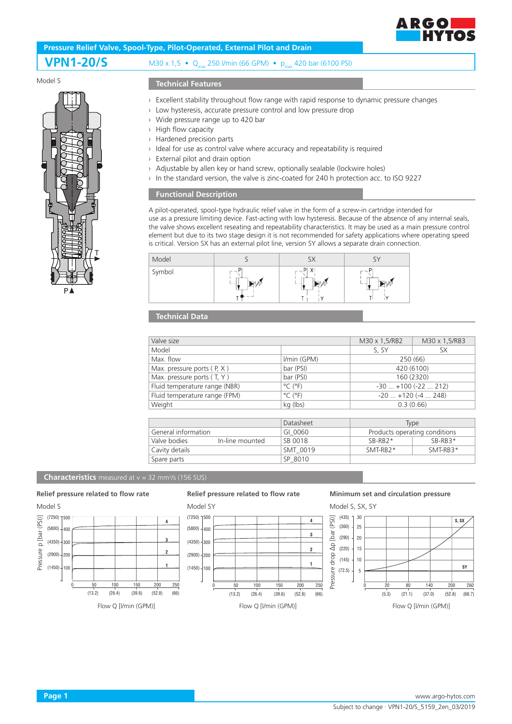

# **Pressure Relief Valve, Spool-Type, Pilot-Operated, External Pilot and Drain**

## **VPN1-20/S** M30 x 1,5 • Q<sub>max</sub> 250 l/min (66 GPM) • p<sub>max</sub> 420 bar (6100 PSI)

#### Model S



#### **Technical Features**

- › Excellent stability throughout flow range with rapid response to dynamic pressure changes
- › Low hysteresis, accurate pressure control and low pressure drop
- › Wide pressure range up to 420 bar
- › High flow capacity
- › Hardened precision parts
- › Ideal for use as control valve where accuracy and repeatability is required
- › External pilot and drain option
- › Adjustable by allen key or hand screw, optionally sealable (lockwire holes)
- › In the standard version, the valve is zinc-coated for 240 h protection acc. to ISO 9227

#### **Functional Description**

A pilot-operated, spool-type hydraulic relief valve in the form of a screw-in cartridge intended for use as a pressure limiting device. Fast-acting with low hysteresis. Because of the absence of any internal seals, the valve shows excellent reseating and repeatability characteristics. It may be used as a main pressure control element but due to its two stage design it is not recommended for safety applications where operating speed is critical. Version SX has an external pilot line, version SY allows a separate drain connection.



### **Technical Data**

| Valve size                      |                              | M30 x 1,5/RB2                 | M30 x 1,5/RB3 |
|---------------------------------|------------------------------|-------------------------------|---------------|
| Model                           |                              | S, SY                         | SX.           |
| Max. flow                       | I/min (GPM)                  | 250 (66)                      |               |
| Max. pressure ports $(P, X)$    | bar (PSI)                    | 420 (6100)                    |               |
| Max. pressure ports (T, Y)      | bar (PSI)                    | 160 (2320)                    |               |
| Fluid temperature range (NBR)   | $^{\circ}$ C ( $^{\circ}$ F) | $-30$ $+100$ ( $-22$ 212)     |               |
| Fluid temperature range (FPM)   | $^{\circ}$ C ( $^{\circ}$ F) | $-20+120(-4248)$              |               |
| Weight                          | kg (lbs)                     | 0.3(0.66)                     |               |
|                                 |                              |                               |               |
|                                 | Datasheet                    | <b>Type</b>                   |               |
| General information             | GI 0060                      | Products operating conditions |               |
| Valve bodies<br>In-line mounted | SB 0018                      | $SB-RB2*$                     | $SB-RB3*$     |
| Cavity details                  | SMT 0019                     | SMT-RB2*                      | SMT-RB3*      |
| Spare parts                     | SP 8010                      |                               |               |

#### **Characteristics** measured at v = 32 mm<sup>2</sup>/s (156 SUS)